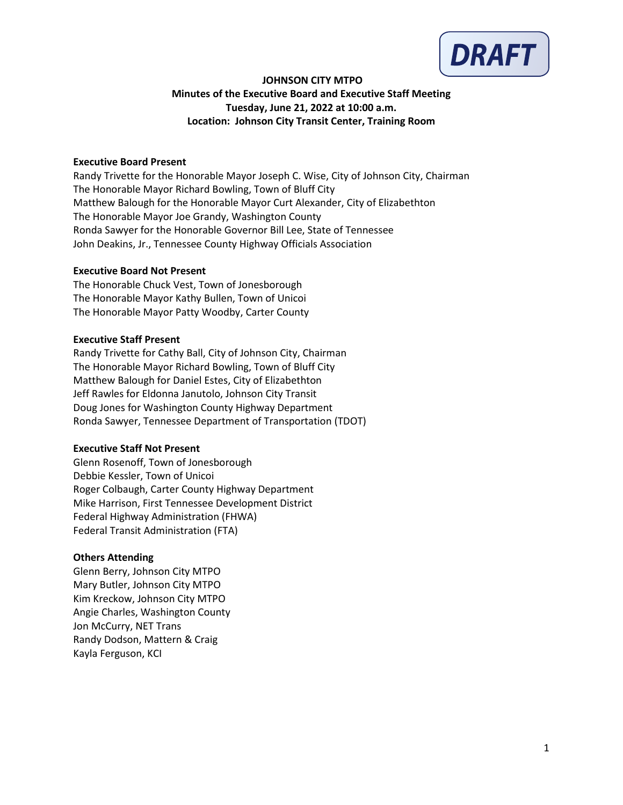

# **JOHNSON CITY MTPO Minutes of the Executive Board and Executive Staff Meeting Tuesday, June 21, 2022 at 10:00 a.m. Location: Johnson City Transit Center, Training Room**

### **Executive Board Present**

Randy Trivette for the Honorable Mayor Joseph C. Wise, City of Johnson City, Chairman The Honorable Mayor Richard Bowling, Town of Bluff City Matthew Balough for the Honorable Mayor Curt Alexander, City of Elizabethton The Honorable Mayor Joe Grandy, Washington County Ronda Sawyer for the Honorable Governor Bill Lee, State of Tennessee John Deakins, Jr., Tennessee County Highway Officials Association

### **Executive Board Not Present**

The Honorable Chuck Vest, Town of Jonesborough The Honorable Mayor Kathy Bullen, Town of Unicoi The Honorable Mayor Patty Woodby, Carter County

### **Executive Staff Present**

Randy Trivette for Cathy Ball, City of Johnson City, Chairman The Honorable Mayor Richard Bowling, Town of Bluff City Matthew Balough for Daniel Estes, City of Elizabethton Jeff Rawles for Eldonna Janutolo, Johnson City Transit Doug Jones for Washington County Highway Department Ronda Sawyer, Tennessee Department of Transportation (TDOT)

### **Executive Staff Not Present**

Glenn Rosenoff, Town of Jonesborough Debbie Kessler, Town of Unicoi Roger Colbaugh, Carter County Highway Department Mike Harrison, First Tennessee Development District Federal Highway Administration (FHWA) Federal Transit Administration (FTA)

# **Others Attending**

Glenn Berry, Johnson City MTPO Mary Butler, Johnson City MTPO Kim Kreckow, Johnson City MTPO Angie Charles, Washington County Jon McCurry, NET Trans Randy Dodson, Mattern & Craig Kayla Ferguson, KCI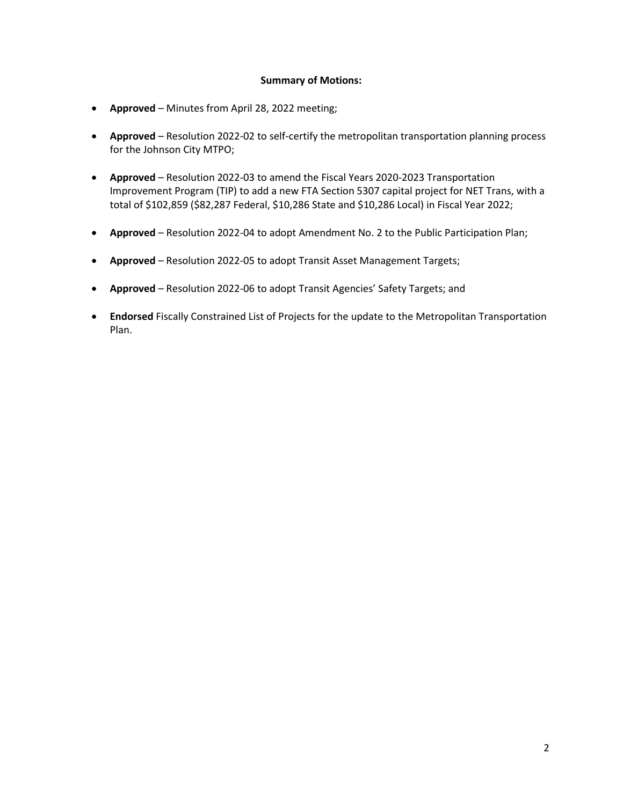#### **Summary of Motions:**

- **Approved** Minutes from April 28, 2022 meeting;
- **Approved**  Resolution 2022-02 to self-certify the metropolitan transportation planning process for the Johnson City MTPO;
- **Approved** Resolution 2022-03 to amend the Fiscal Years 2020-2023 Transportation Improvement Program (TIP) to add a new FTA Section 5307 capital project for NET Trans, with a total of \$102,859 (\$82,287 Federal, \$10,286 State and \$10,286 Local) in Fiscal Year 2022;
- **Approved** Resolution 2022-04 to adopt Amendment No. 2 to the Public Participation Plan;
- **Approved** Resolution 2022-05 to adopt Transit Asset Management Targets;
- **Approved** Resolution 2022-06 to adopt Transit Agencies' Safety Targets; and
- **Endorsed** Fiscally Constrained List of Projects for the update to the Metropolitan Transportation Plan.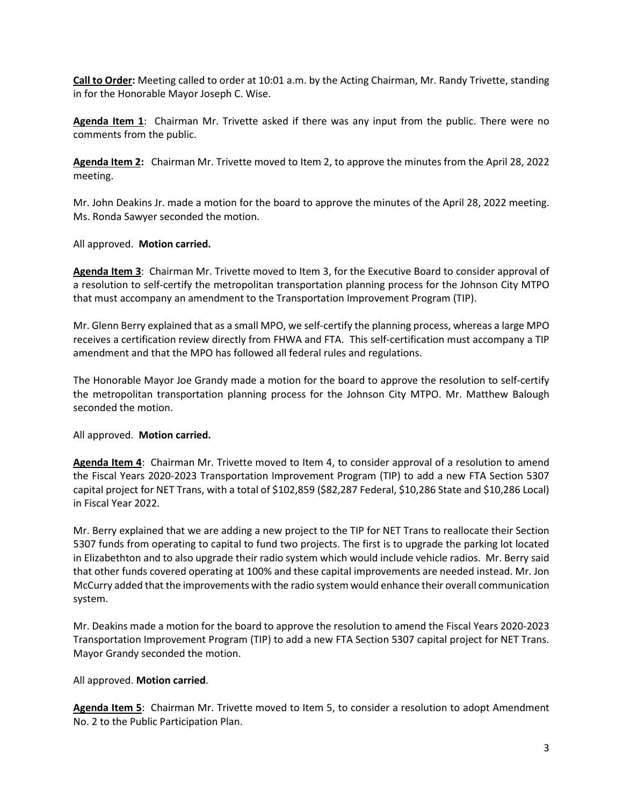**Call to Order:** Meeting called to order at 10:01 a.m. by the Acting Chairman, Mr. Randy Trivette, standing in for the Honorable Mayor Joseph C. Wise.

**Agenda Item 1**: Chairman Mr. Trivette asked if there was any input from the public. There were no comments from the public.

**Agenda Item 2:** Chairman Mr. Trivette moved to Item 2, to approve the minutes from the April 28, 2022 meeting.

Mr. John Deakins Jr. made a motion for the board to approve the minutes of the April 28, 2022 meeting. Ms. Ronda Sawyer seconded the motion.

All approved. **Motion carried.**

**Agenda Item 3**: Chairman Mr. Trivette moved to Item 3, for the Executive Board to consider approval of a resolution to self-certify the metropolitan transportation planning process for the Johnson City MTPO that must accompany an amendment to the Transportation Improvement Program (TIP).

Mr. Glenn Berry explained that as a small MPO, we self-certify the planning process, whereas a large MPO receives a certification review directly from FHWA and FTA. This self-certification must accompany a TIP amendment and that the MPO has followed all federal rules and regulations.

The Honorable Mayor Joe Grandy made a motion for the board to approve the resolution to self-certify the metropolitan transportation planning process for the Johnson City MTPO. Mr. Matthew Balough seconded the motion.

All approved. **Motion carried.**

**Agenda Item 4**: Chairman Mr. Trivette moved to Item 4, to consider approval of a resolution to amend the Fiscal Years 2020-2023 Transportation Improvement Program (TIP) to add a new FTA Section 5307 capital project for NET Trans, with a total of \$102,859 (\$82,287 Federal, \$10,286 State and \$10,286 Local) in Fiscal Year 2022.

Mr. Berry explained that we are adding a new project to the TIP for NET Trans to reallocate their Section 5307 funds from operating to capital to fund two projects. The first is to upgrade the parking lot located in Elizabethton and to also upgrade their radio system which would include vehicle radios. Mr. Berry said that other funds covered operating at 100% and these capital improvements are needed instead. Mr. Jon McCurry added that the improvements with the radio system would enhance their overall communication system.

Mr. Deakins made a motion for the board to approve the resolution to amend the Fiscal Years 2020-2023 Transportation Improvement Program (TIP) to add a new FTA Section 5307 capital project for NET Trans. Mayor Grandy seconded the motion.

All approved. **Motion carried**.

**Agenda Item 5**: Chairman Mr. Trivette moved to Item 5, to consider a resolution to adopt Amendment No. 2 to the Public Participation Plan.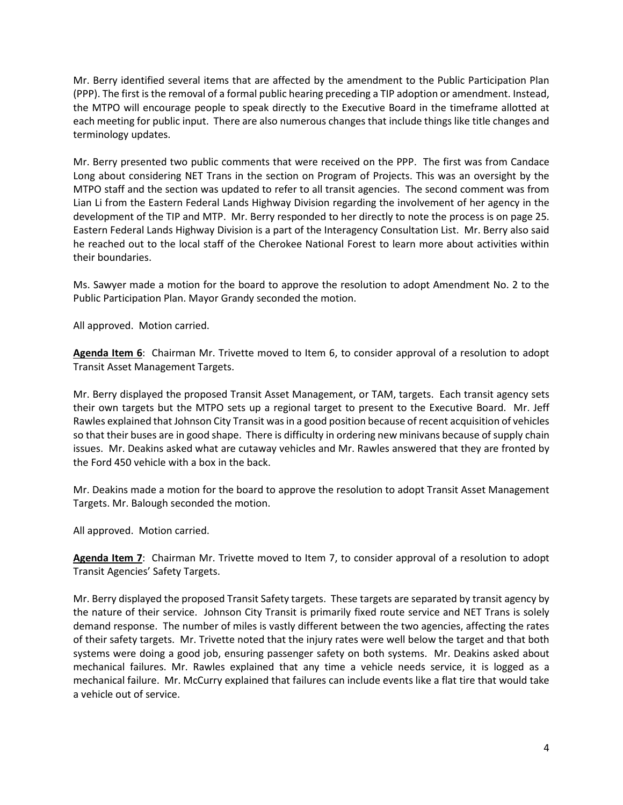Mr. Berry identified several items that are affected by the amendment to the Public Participation Plan (PPP). The first is the removal of a formal public hearing preceding a TIP adoption or amendment. Instead, the MTPO will encourage people to speak directly to the Executive Board in the timeframe allotted at each meeting for public input. There are also numerous changes that include things like title changes and terminology updates.

Mr. Berry presented two public comments that were received on the PPP. The first was from Candace Long about considering NET Trans in the section on Program of Projects. This was an oversight by the MTPO staff and the section was updated to refer to all transit agencies. The second comment was from Lian Li from the Eastern Federal Lands Highway Division regarding the involvement of her agency in the development of the TIP and MTP. Mr. Berry responded to her directly to note the process is on page 25. Eastern Federal Lands Highway Division is a part of the Interagency Consultation List. Mr. Berry also said he reached out to the local staff of the Cherokee National Forest to learn more about activities within their boundaries.

Ms. Sawyer made a motion for the board to approve the resolution to adopt Amendment No. 2 to the Public Participation Plan. Mayor Grandy seconded the motion.

All approved. Motion carried.

**Agenda Item 6**: Chairman Mr. Trivette moved to Item 6, to consider approval of a resolution to adopt Transit Asset Management Targets.

Mr. Berry displayed the proposed Transit Asset Management, or TAM, targets. Each transit agency sets their own targets but the MTPO sets up a regional target to present to the Executive Board. Mr. Jeff Rawles explained that Johnson City Transit was in a good position because of recent acquisition of vehicles so that their buses are in good shape. There is difficulty in ordering new minivans because of supply chain issues. Mr. Deakins asked what are cutaway vehicles and Mr. Rawles answered that they are fronted by the Ford 450 vehicle with a box in the back.

Mr. Deakins made a motion for the board to approve the resolution to adopt Transit Asset Management Targets. Mr. Balough seconded the motion.

All approved. Motion carried.

**Agenda Item 7**: Chairman Mr. Trivette moved to Item 7, to consider approval of a resolution to adopt Transit Agencies' Safety Targets.

Mr. Berry displayed the proposed Transit Safety targets. These targets are separated by transit agency by the nature of their service. Johnson City Transit is primarily fixed route service and NET Trans is solely demand response. The number of miles is vastly different between the two agencies, affecting the rates of their safety targets. Mr. Trivette noted that the injury rates were well below the target and that both systems were doing a good job, ensuring passenger safety on both systems. Mr. Deakins asked about mechanical failures. Mr. Rawles explained that any time a vehicle needs service, it is logged as a mechanical failure. Mr. McCurry explained that failures can include events like a flat tire that would take a vehicle out of service.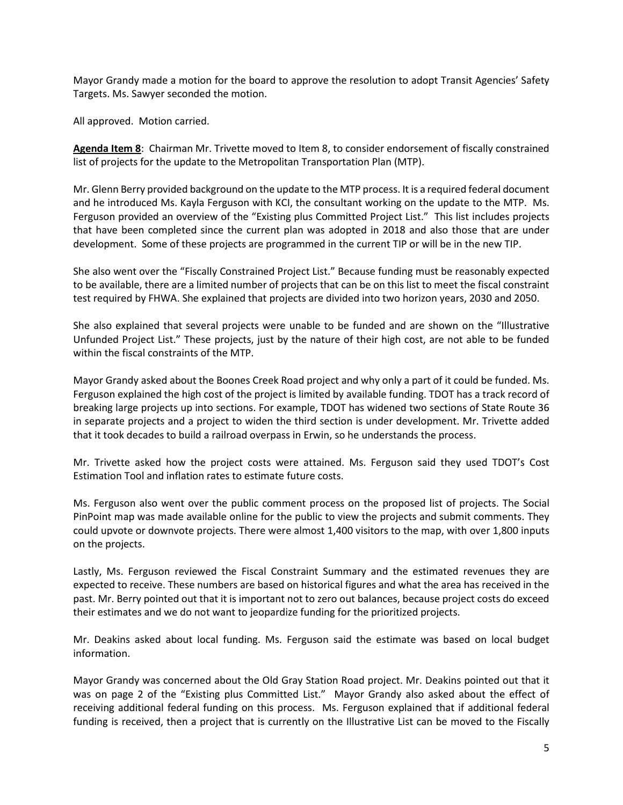Mayor Grandy made a motion for the board to approve the resolution to adopt Transit Agencies' Safety Targets. Ms. Sawyer seconded the motion.

All approved. Motion carried.

**Agenda Item 8**: Chairman Mr. Trivette moved to Item 8, to consider endorsement of fiscally constrained list of projects for the update to the Metropolitan Transportation Plan (MTP).

Mr. Glenn Berry provided background on the update to the MTP process. It is a required federal document and he introduced Ms. Kayla Ferguson with KCI, the consultant working on the update to the MTP. Ms. Ferguson provided an overview of the "Existing plus Committed Project List." This list includes projects that have been completed since the current plan was adopted in 2018 and also those that are under development. Some of these projects are programmed in the current TIP or will be in the new TIP.

She also went over the "Fiscally Constrained Project List." Because funding must be reasonably expected to be available, there are a limited number of projects that can be on this list to meet the fiscal constraint test required by FHWA. She explained that projects are divided into two horizon years, 2030 and 2050.

She also explained that several projects were unable to be funded and are shown on the "Illustrative Unfunded Project List." These projects, just by the nature of their high cost, are not able to be funded within the fiscal constraints of the MTP.

Mayor Grandy asked about the Boones Creek Road project and why only a part of it could be funded. Ms. Ferguson explained the high cost of the project is limited by available funding. TDOT has a track record of breaking large projects up into sections. For example, TDOT has widened two sections of State Route 36 in separate projects and a project to widen the third section is under development. Mr. Trivette added that it took decades to build a railroad overpass in Erwin, so he understands the process.

Mr. Trivette asked how the project costs were attained. Ms. Ferguson said they used TDOT's Cost Estimation Tool and inflation rates to estimate future costs.

Ms. Ferguson also went over the public comment process on the proposed list of projects. The Social PinPoint map was made available online for the public to view the projects and submit comments. They could upvote or downvote projects. There were almost 1,400 visitors to the map, with over 1,800 inputs on the projects.

Lastly, Ms. Ferguson reviewed the Fiscal Constraint Summary and the estimated revenues they are expected to receive. These numbers are based on historical figures and what the area has received in the past. Mr. Berry pointed out that it is important not to zero out balances, because project costs do exceed their estimates and we do not want to jeopardize funding for the prioritized projects.

Mr. Deakins asked about local funding. Ms. Ferguson said the estimate was based on local budget information.

Mayor Grandy was concerned about the Old Gray Station Road project. Mr. Deakins pointed out that it was on page 2 of the "Existing plus Committed List." Mayor Grandy also asked about the effect of receiving additional federal funding on this process. Ms. Ferguson explained that if additional federal funding is received, then a project that is currently on the Illustrative List can be moved to the Fiscally